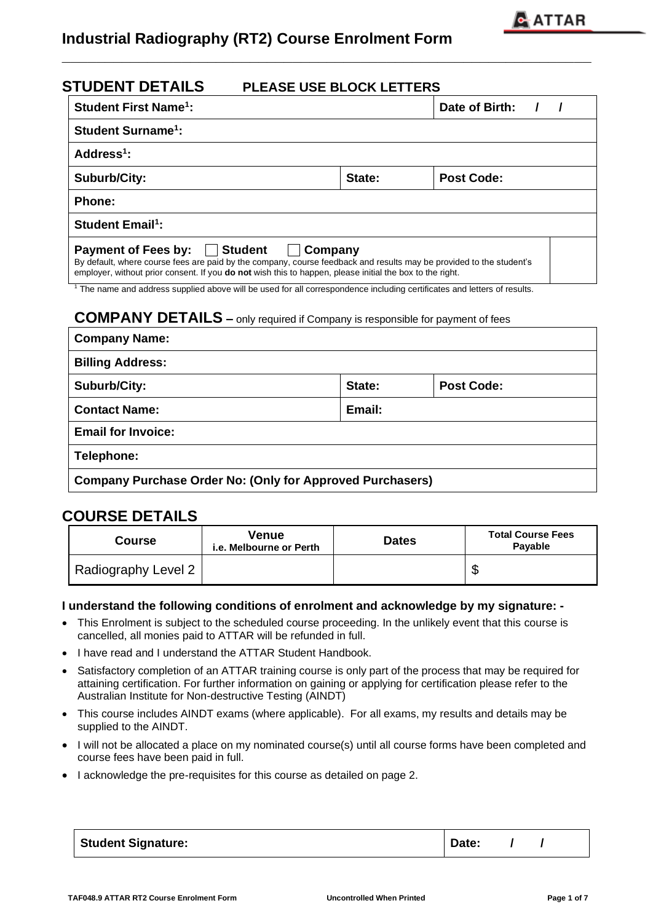# **Industrial Radiography (RT2) Course Enrolment Form**

| <b>STUDENT DETAILS</b><br><b>PLEASE USE BLOCK LETTERS</b>                                                                                                                                                                                                                                                                                                                                                              |                                                  |                |  |  |  |  |
|------------------------------------------------------------------------------------------------------------------------------------------------------------------------------------------------------------------------------------------------------------------------------------------------------------------------------------------------------------------------------------------------------------------------|--------------------------------------------------|----------------|--|--|--|--|
| <b>Student First Name<sup>1</sup>:</b>                                                                                                                                                                                                                                                                                                                                                                                 |                                                  | Date of Birth: |  |  |  |  |
| <b>Student Surname<sup>1</sup>:</b>                                                                                                                                                                                                                                                                                                                                                                                    |                                                  |                |  |  |  |  |
| Address <sup>1</sup> :                                                                                                                                                                                                                                                                                                                                                                                                 |                                                  |                |  |  |  |  |
| <b>Post Code:</b><br>Suburb/City:<br>State:                                                                                                                                                                                                                                                                                                                                                                            |                                                  |                |  |  |  |  |
| <b>Phone:</b>                                                                                                                                                                                                                                                                                                                                                                                                          |                                                  |                |  |  |  |  |
| <b>Student Email<sup>1</sup>:</b>                                                                                                                                                                                                                                                                                                                                                                                      |                                                  |                |  |  |  |  |
| <b>Payment of Fees by: Student</b><br>  Company<br>By default, where course fees are paid by the company, course feedback and results may be provided to the student's<br>employer, without prior consent. If you <b>do not</b> wish this to happen, please initial the box to the right.<br>$\sim$<br>the contract of the contract of the contract of the contract of the contract of the contract of the contract of | $\sim$ $\sim$ $\sim$ $\sim$ $\sim$ $\sim$ $\sim$ | $\sim$ $\sim$  |  |  |  |  |

**\_\_\_\_\_\_\_\_\_\_\_\_\_\_\_\_\_\_\_\_\_\_\_\_\_\_\_\_\_\_\_\_\_\_\_\_\_\_\_\_\_\_\_\_\_\_\_\_\_\_\_\_\_\_\_\_\_\_\_\_\_\_**

<sup>1</sup> The name and address supplied above will be used for all correspondence including certificates and letters of results.

## **COMPANY DETAILS –** only required if Company is responsible for payment of fees

| <b>Company Name:</b>                                             |  |  |  |  |  |
|------------------------------------------------------------------|--|--|--|--|--|
| <b>Billing Address:</b>                                          |  |  |  |  |  |
| <b>Suburb/City:</b><br><b>Post Code:</b><br>State:               |  |  |  |  |  |
| <b>Contact Name:</b><br>Email:                                   |  |  |  |  |  |
| <b>Email for Invoice:</b>                                        |  |  |  |  |  |
| Telephone:                                                       |  |  |  |  |  |
| <b>Company Purchase Order No: (Only for Approved Purchasers)</b> |  |  |  |  |  |

## **COURSE DETAILS**

| Course              | Venue<br>i.e. Melbourne or Perth |  | <b>Total Course Fees</b><br><b>Pavable</b> |
|---------------------|----------------------------------|--|--------------------------------------------|
| Radiography Level 2 |                                  |  | ٨IJ                                        |

### **I understand the following conditions of enrolment and acknowledge by my signature: -**

- This Enrolment is subject to the scheduled course proceeding. In the unlikely event that this course is cancelled, all monies paid to ATTAR will be refunded in full.
- I have read and I understand the ATTAR Student Handbook.
- Satisfactory completion of an ATTAR training course is only part of the process that may be required for attaining certification. For further information on gaining or applying for certification please refer to the Australian Institute for Non-destructive Testing (AINDT)
- This course includes AINDT exams (where applicable). For all exams, my results and details may be supplied to the AINDT.
- I will not be allocated a place on my nominated course(s) until all course forms have been completed and course fees have been paid in full.
- I acknowledge the pre-requisites for this course as detailed on page 2.

| Student Signature: | Date: |
|--------------------|-------|
|--------------------|-------|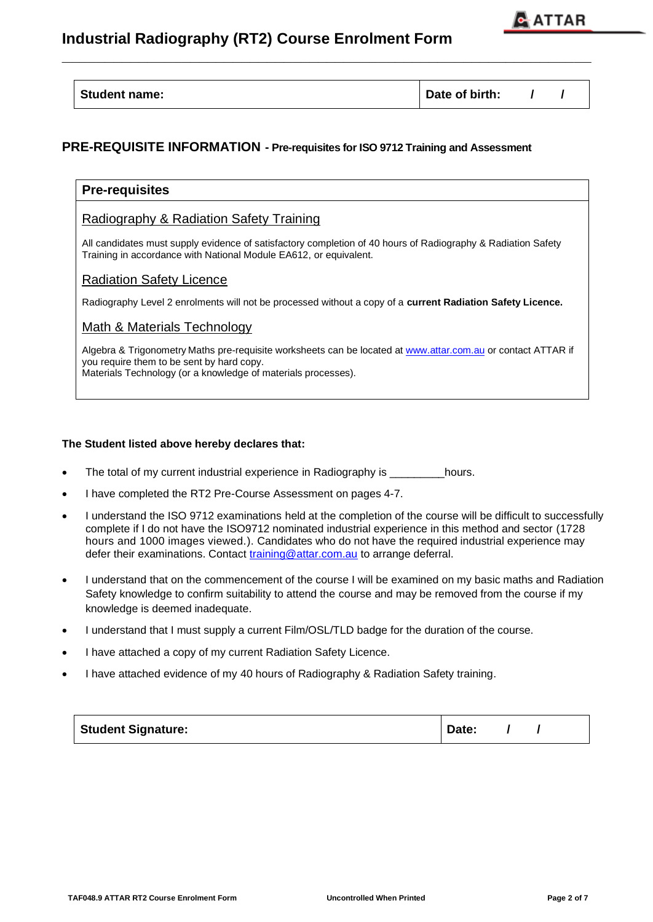# **Industrial Radiography (RT2) Course Enrolment Form**



| <b>Student name:</b> | Date of birth: |  |  |  |
|----------------------|----------------|--|--|--|
|----------------------|----------------|--|--|--|

**\_\_\_\_\_\_\_\_\_\_\_\_\_\_\_\_\_\_\_\_\_\_\_\_\_\_\_\_\_\_\_\_\_\_\_\_\_\_\_\_\_\_\_\_\_\_\_\_\_\_\_\_\_\_\_\_\_\_\_\_\_\_**

### **PRE-REQUISITE INFORMATION - Pre-requisites for ISO 9712 Training and Assessment**

| <b>Pre-requisites</b>                                                                                                                                                                                                      |
|----------------------------------------------------------------------------------------------------------------------------------------------------------------------------------------------------------------------------|
| Radiography & Radiation Safety Training                                                                                                                                                                                    |
| All candidates must supply evidence of satisfactory completion of 40 hours of Radiography & Radiation Safety<br>Training in accordance with National Module EA612, or equivalent.                                          |
| <b>Radiation Safety Licence</b>                                                                                                                                                                                            |
| Radiography Level 2 enrolments will not be processed without a copy of a current Radiation Safety Licence.                                                                                                                 |
| Math & Materials Technology                                                                                                                                                                                                |
| Algebra & Trigonometry Maths pre-requisite worksheets can be located at www.attar.com.au or contact ATTAR if<br>you require them to be sent by hard copy.<br>Materials Technology (or a knowledge of materials processes). |
|                                                                                                                                                                                                                            |

### **The Student listed above hereby declares that:**

- The total of my current industrial experience in Radiography is \_\_\_\_\_\_\_hours.
- I have completed the RT2 Pre-Course Assessment on pages 4-7.
- I understand the ISO 9712 examinations held at the completion of the course will be difficult to successfully complete if I do not have the ISO9712 nominated industrial experience in this method and sector (1728 hours and 1000 images viewed.). Candidates who do not have the required industrial experience may defer their examinations. Contact [training@attar.com.au](mailto:training@attar.com.au) to arrange deferral.
- I understand that on the commencement of the course I will be examined on my basic maths and Radiation Safety knowledge to confirm suitability to attend the course and may be removed from the course if my knowledge is deemed inadequate.
- I understand that I must supply a current Film/OSL/TLD badge for the duration of the course.
- I have attached a copy of my current Radiation Safety Licence.
- I have attached evidence of my 40 hours of Radiography & Radiation Safety training.

| <b>Student Signature:</b> | Date: |  |  |  |
|---------------------------|-------|--|--|--|
|---------------------------|-------|--|--|--|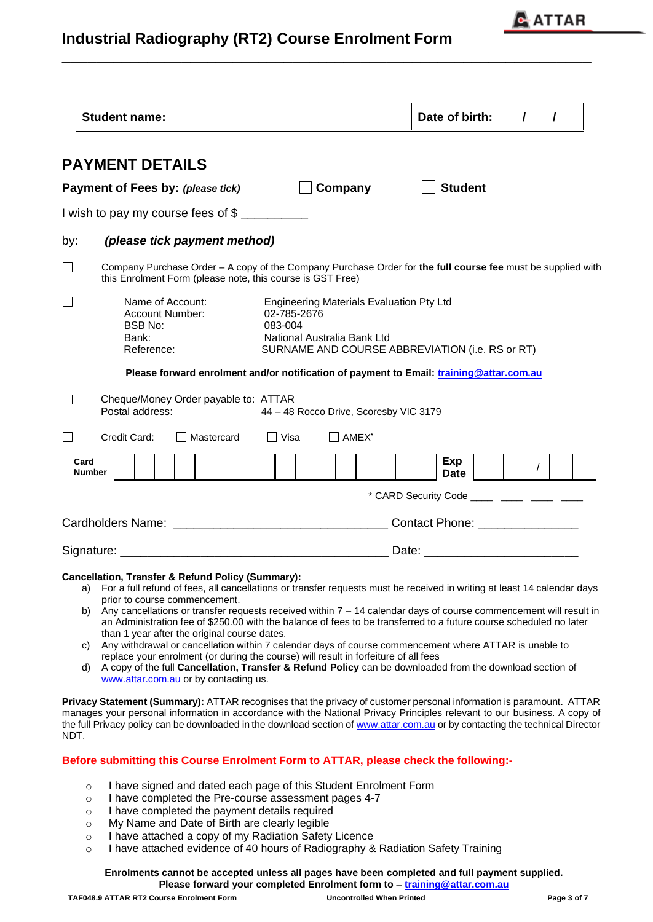

# **Industrial Radiography (RT2) Course Enrolment Form**

|      | <b>Student name:</b>                                                                    |                                                                                                                                                             | Date of birth:<br>$\prime$<br>I                                                                             |  |  |  |
|------|-----------------------------------------------------------------------------------------|-------------------------------------------------------------------------------------------------------------------------------------------------------------|-------------------------------------------------------------------------------------------------------------|--|--|--|
|      | <b>PAYMENT DETAILS</b>                                                                  |                                                                                                                                                             |                                                                                                             |  |  |  |
|      | Payment of Fees by: (please tick)                                                       | Company                                                                                                                                                     | <b>Student</b>                                                                                              |  |  |  |
|      | I wish to pay my course fees of \$                                                      |                                                                                                                                                             |                                                                                                             |  |  |  |
| by:  | (please tick payment method)                                                            |                                                                                                                                                             |                                                                                                             |  |  |  |
|      | this Enrolment Form (please note, this course is GST Free)                              |                                                                                                                                                             | Company Purchase Order - A copy of the Company Purchase Order for the full course fee must be supplied with |  |  |  |
|      | Name of Account:<br><b>Account Number:</b><br><b>BSB No:</b><br>Bank:<br>Reference:     | <b>Engineering Materials Evaluation Pty Ltd</b><br>02-785-2676<br>083-004<br>National Australia Bank Ltd<br>SURNAME AND COURSE ABBREVIATION (i.e. RS or RT) |                                                                                                             |  |  |  |
|      | Please forward enrolment and/or notification of payment to Email: training@attar.com.au |                                                                                                                                                             |                                                                                                             |  |  |  |
|      | Cheque/Money Order payable to: ATTAR<br>Postal address:                                 | 44 - 48 Rocco Drive, Scoresby VIC 3179                                                                                                                      |                                                                                                             |  |  |  |
|      | Credit Card:<br>Mastercard                                                              | │ Visa<br>AMEX <sup>*</sup>                                                                                                                                 |                                                                                                             |  |  |  |
| Card | <b>Number</b>                                                                           |                                                                                                                                                             | Exp<br>Date                                                                                                 |  |  |  |
|      |                                                                                         |                                                                                                                                                             | * CARD Security Code _____ ____ ____ ____                                                                   |  |  |  |
|      |                                                                                         |                                                                                                                                                             |                                                                                                             |  |  |  |
|      |                                                                                         |                                                                                                                                                             | Date: __________________________                                                                            |  |  |  |
|      | <b>Cancellation, Transfer &amp; Refund Policy (Summary):</b>                            |                                                                                                                                                             |                                                                                                             |  |  |  |

**\_\_\_\_\_\_\_\_\_\_\_\_\_\_\_\_\_\_\_\_\_\_\_\_\_\_\_\_\_\_\_\_\_\_\_\_\_\_\_\_\_\_\_\_\_\_\_\_\_\_\_\_\_\_\_\_\_\_\_\_\_\_**

## a) For a full refund of fees, all cancellations or transfer requests must be received in writing at least 14 calendar days

- prior to course commencement.
- b) Any cancellations or transfer requests received within 7 14 calendar days of course commencement will result in an Administration fee of \$250.00 with the balance of fees to be transferred to a future course scheduled no later than 1 year after the original course dates.
- c) Any withdrawal or cancellation within 7 calendar days of course commencement where ATTAR is unable to replace your enrolment (or during the course) will result in forfeiture of all fees
- d) A copy of the full **Cancellation, Transfer & Refund Policy** can be downloaded from the download section of [www.attar.com.au](http://www.attar.com.au/) or by contacting us.

**Privacy Statement (Summary):** ATTAR recognises that the privacy of customer personal information is paramount. ATTAR manages your personal information in accordance with the National Privacy Principles relevant to our business. A copy of the full Privacy policy can be downloaded in the download section o[f www.attar.com.au](http://www.attar.com.au/) or by contacting the technical Director NDT.

### **Before submitting this Course Enrolment Form to ATTAR, please check the following:-**

- o I have signed and dated each page of this Student Enrolment Form
- o I have completed the Pre-course assessment pages 4-7
- o I have completed the payment details required
- o My Name and Date of Birth are clearly legible
- o I have attached a copy of my Radiation Safety Licence
- o I have attached evidence of 40 hours of Radiography & Radiation Safety Training

#### **Enrolments cannot be accepted unless all pages have been completed and full payment supplied. Please forward your completed Enrolment form to – [training@attar.com.au](mailto:training@attar.com.au)**

**TAF048.9 ATTAR RT2 Course Enrolment Form Uncontrolled When Printed Page 3 of 7**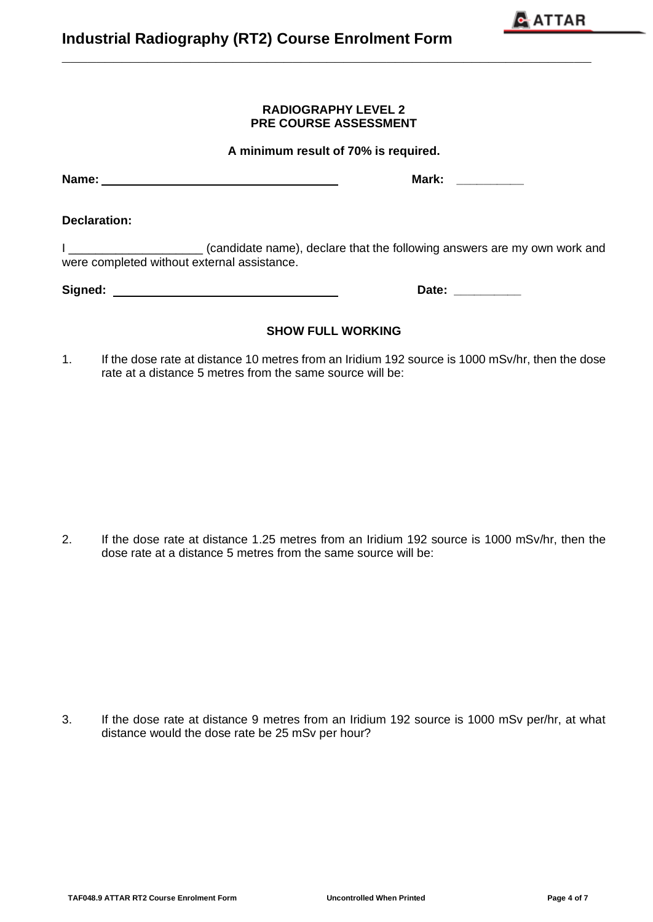**TAF048.9 ATTAR RT2 Course Enrolment Form Uncontrolled When Printed Page 4 of 7**

### **RADIOGRAPHY LEVEL 2 PRE COURSE ASSESSMENT**

**\_\_\_\_\_\_\_\_\_\_\_\_\_\_\_\_\_\_\_\_\_\_\_\_\_\_\_\_\_\_\_\_\_\_\_\_\_\_\_\_\_\_\_\_\_\_\_\_\_\_\_\_\_\_\_\_\_\_\_\_\_\_**

**A minimum result of 70% is required.**

**Declaration:**

I \_\_\_\_\_\_\_\_\_\_\_\_\_\_\_\_\_\_\_\_\_\_\_\_ (candidate name), declare that the following answers are my own work and were completed without external assistance.

**Signed: Date: \_\_\_\_\_\_\_\_\_\_**

1. If the dose rate at distance 10 metres from an Iridium 192 source is 1000 mSv/hr, then the dose rate at a distance 5 metres from the same source will be:

**SHOW FULL WORKING**

2. If the dose rate at distance 1.25 metres from an Iridium 192 source is 1000 mSv/hr, then the dose rate at a distance 5 metres from the same source will be:

3. If the dose rate at distance 9 metres from an Iridium 192 source is 1000 mSv per/hr, at what distance would the dose rate be 25 mSv per hour?

 $\mathbf{\mathbb{R}}$  ATTAR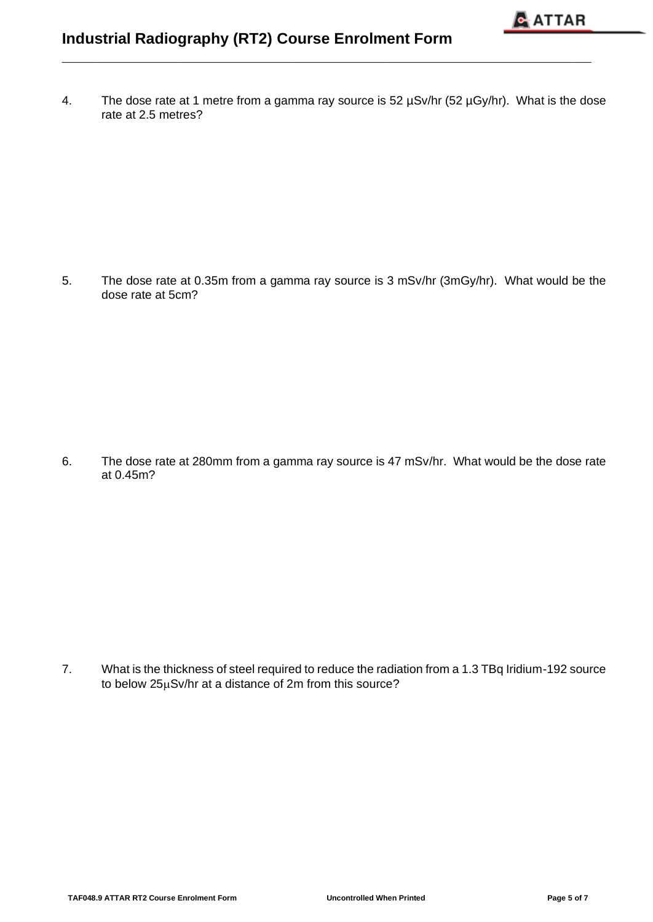4. The dose rate at 1 metre from a gamma ray source is 52 µSv/hr (52 µGy/hr). What is the dose rate at 2.5 metres?

**\_\_\_\_\_\_\_\_\_\_\_\_\_\_\_\_\_\_\_\_\_\_\_\_\_\_\_\_\_\_\_\_\_\_\_\_\_\_\_\_\_\_\_\_\_\_\_\_\_\_\_\_\_\_\_\_\_\_\_\_\_\_**

5. The dose rate at 0.35m from a gamma ray source is 3 mSv/hr (3mGy/hr). What would be the dose rate at 5cm?

6. The dose rate at 280mm from a gamma ray source is 47 mSv/hr. What would be the dose rate at 0.45m?

7. What is the thickness of steel required to reduce the radiation from a 1.3 TBq Iridium-192 source to below  $25\mu Sv/hr$  at a distance of 2m from this source?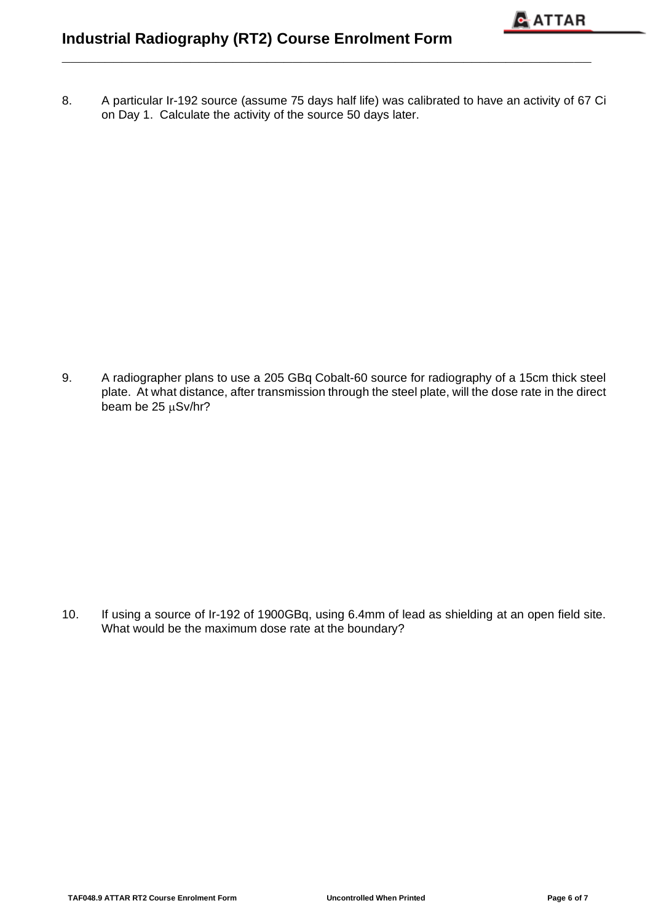8. A particular Ir-192 source (assume 75 days half life) was calibrated to have an activity of 67 Ci on Day 1. Calculate the activity of the source 50 days later.

**\_\_\_\_\_\_\_\_\_\_\_\_\_\_\_\_\_\_\_\_\_\_\_\_\_\_\_\_\_\_\_\_\_\_\_\_\_\_\_\_\_\_\_\_\_\_\_\_\_\_\_\_\_\_\_\_\_\_\_\_\_\_**

9. A radiographer plans to use a 205 GBq Cobalt-60 source for radiography of a 15cm thick steel plate. At what distance, after transmission through the steel plate, will the dose rate in the direct beam be  $25 \mu Sv/hr?$ 

10. If using a source of Ir-192 of 1900GBq, using 6.4mm of lead as shielding at an open field site. What would be the maximum dose rate at the boundary?